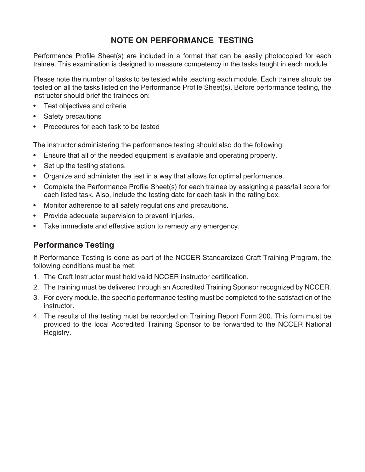## **NOTE ON PERFORMANCE TESTING**

Performance Profile Sheet(s) are included in a format that can be easily photocopied for each trainee. This examination is designed to measure competency in the tasks taught in each module.

Please note the number of tasks to be tested while teaching each module. Each trainee should be tested on all the tasks listed on the Performance Profile Sheet(s). Before performance testing, the instructor should brief the trainees on:

- Test objectives and criteria
- Safety precautions
- Procedures for each task to be tested

The instructor administering the performance testing should also do the following:

- Ensure that all of the needed equipment is available and operating properly.
- Set up the testing stations.
- Organize and administer the test in a way that allows for optimal performance.
- Complete the Performance Profile Sheet(s) for each trainee by assigning a pass/fail score for each listed task. Also, include the testing date for each task in the rating box.
- Monitor adherence to all safety regulations and precautions.
- Provide adequate supervision to prevent injuries.
- Take immediate and effective action to remedy any emergency.

## **Performance Testing**

If Performance Testing is done as part of the NCCER Standardized Craft Training Program, the following conditions must be met:

- 1. The Craft Instructor must hold valid NCCER instructor certification.
- 2. The training must be delivered through an Accredited Training Sponsor recognized by NCCER.
- 3. For every module, the specific performance testing must be completed to the satisfaction of the instructor.
- 4. The results of the testing must be recorded on Training Report Form 200. This form must be provided to the local Accredited Training Sponsor to be forwarded to the NCCER National Registry.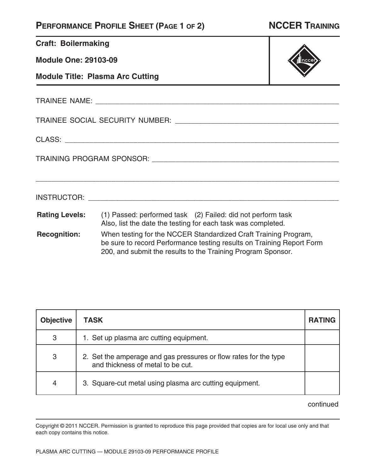# **PERFORMANCE PROFILE SHEET (PAGE 1 OF 2) NCCER TRAINING**

**Craft: Boilermaking** 

**Module One: 29103-09**

**Module Title: Plasma Arc Cutting**

TRAINEE NAME: **WEBSINGS TRAINER** 

TRAINEE SOCIAL SECURITY NUMBER: \_\_\_\_\_\_\_\_\_\_\_\_\_\_\_\_\_\_\_\_\_\_\_\_\_\_\_\_\_\_\_\_\_\_\_\_\_\_\_\_\_

CLASS: \_\_\_\_\_\_\_\_\_\_\_\_\_\_\_\_\_\_\_\_\_\_\_\_\_\_\_\_\_\_\_\_\_\_\_\_\_\_\_\_\_\_\_\_\_\_\_\_\_\_\_\_\_\_\_\_\_\_\_\_\_\_\_\_\_\_\_\_

TRAINING PROGRAM SPONSOR: \_\_\_\_\_\_\_\_\_\_\_\_\_\_\_\_\_\_\_\_\_\_\_\_\_\_\_\_\_\_\_\_\_\_\_\_\_\_\_\_\_\_\_\_\_\_\_

**Rating Levels:** (1) Passed: performed task (2) Failed: did not perform task Also, list the date the testing for each task was completed.

INSTRUCTOR: \_\_\_\_\_\_\_\_\_\_\_\_\_\_\_\_\_\_\_\_\_\_\_\_\_\_\_\_\_\_\_\_\_\_\_\_\_\_\_\_\_\_\_\_\_\_\_\_\_\_\_\_\_\_\_\_\_\_\_\_\_\_\_

**Recognition:** When testing for the NCCER Standardized Craft Training Program, be sure to record Performance testing results on Training Report Form 200, and submit the results to the Training Program Sponsor.

\_\_\_\_\_\_\_\_\_\_\_\_\_\_\_\_\_\_\_\_\_\_\_\_\_\_\_\_\_\_\_\_\_\_\_\_\_\_\_\_\_\_\_\_\_\_\_\_\_\_\_\_\_\_\_\_\_\_\_\_\_\_\_\_\_\_\_\_\_\_\_\_\_\_\_\_

| <b>Objective</b> | <b>TASK</b>                                                                                           | <b>RATING</b> |
|------------------|-------------------------------------------------------------------------------------------------------|---------------|
| 3                | 1. Set up plasma arc cutting equipment.                                                               |               |
| 3                | 2. Set the amperage and gas pressures or flow rates for the type<br>and thickness of metal to be cut. |               |
| 4                | 3. Square-cut metal using plasma arc cutting equipment.                                               |               |

continued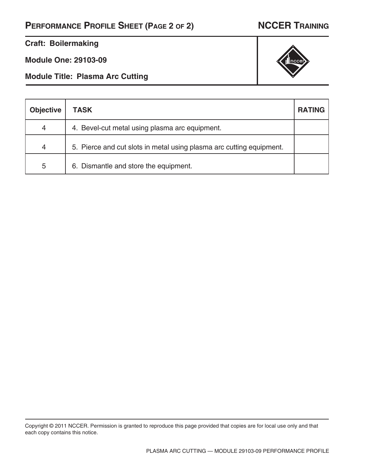# **PERFORMANCE PROFILE SHEET (PAGE 2 OF 2) NCCER TRAINING**

### **Craft: Boilermaking**

**Module One: 29103-09**

**Module Title: Plasma Arc Cutting**

| <b>Objective</b> | <b>TASK</b>                                                          | <b>RATING</b> |
|------------------|----------------------------------------------------------------------|---------------|
| 4                | 4. Bevel-cut metal using plasma arc equipment.                       |               |
| 4                | 5. Pierce and cut slots in metal using plasma arc cutting equipment. |               |
| 5                | 6. Dismantle and store the equipment.                                |               |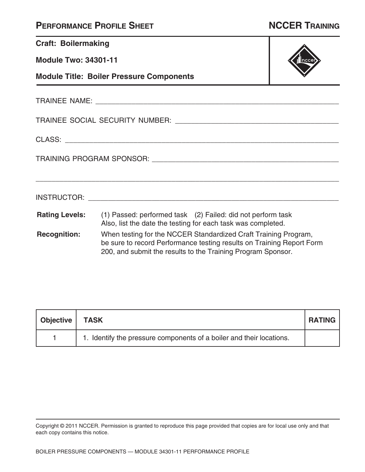|  | <b>PERFORMANCE PROFILE SHEET</b> |
|--|----------------------------------|
|--|----------------------------------|

| <b>Craft: Boilermaking</b>  |                                                                                                                                                                                                          |  |
|-----------------------------|----------------------------------------------------------------------------------------------------------------------------------------------------------------------------------------------------------|--|
| <b>Module Two: 34301-11</b> |                                                                                                                                                                                                          |  |
|                             | <b>Module Title: Boiler Pressure Components</b>                                                                                                                                                          |  |
|                             |                                                                                                                                                                                                          |  |
|                             |                                                                                                                                                                                                          |  |
|                             |                                                                                                                                                                                                          |  |
|                             |                                                                                                                                                                                                          |  |
|                             |                                                                                                                                                                                                          |  |
|                             | <b>Rating Levels:</b> (1) Passed: performed task (2) Failed: did not perform task<br>Also, list the date the testing for each task was completed.                                                        |  |
| <b>Recognition:</b>         | When testing for the NCCER Standardized Craft Training Program,<br>be sure to record Performance testing results on Training Report Form<br>200, and submit the results to the Training Program Sponsor. |  |

| Objective | <b>TASK</b>                                                          | <b>RATING</b> |
|-----------|----------------------------------------------------------------------|---------------|
|           | 1. Identify the pressure components of a boiler and their locations. |               |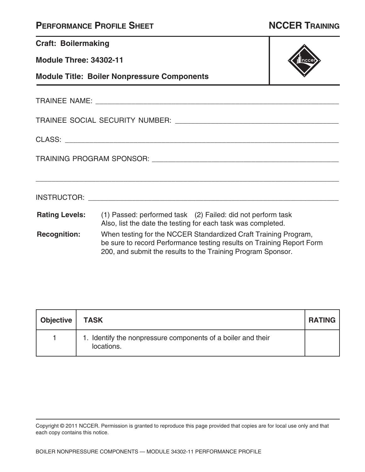| <b>PERFORMANCE PROFILE SHEET</b> |  |  |
|----------------------------------|--|--|
|----------------------------------|--|--|

т

| <b>Craft: Boilermaking</b>    |                                                                                                                                                                                                          |  |
|-------------------------------|----------------------------------------------------------------------------------------------------------------------------------------------------------------------------------------------------------|--|
| <b>Module Three: 34302-11</b> |                                                                                                                                                                                                          |  |
|                               | <b>Module Title: Boiler Nonpressure Components</b>                                                                                                                                                       |  |
|                               |                                                                                                                                                                                                          |  |
|                               |                                                                                                                                                                                                          |  |
|                               |                                                                                                                                                                                                          |  |
|                               |                                                                                                                                                                                                          |  |
|                               |                                                                                                                                                                                                          |  |
| <b>Rating Levels:</b>         | (1) Passed: performed task (2) Failed: did not perform task<br>Also, list the date the testing for each task was completed.                                                                              |  |
| <b>Recognition:</b>           | When testing for the NCCER Standardized Craft Training Program,<br>be sure to record Performance testing results on Training Report Form<br>200, and submit the results to the Training Program Sponsor. |  |

| Objective   TASK |                                                                            | <b>RATING</b> |
|------------------|----------------------------------------------------------------------------|---------------|
|                  | 1. Identify the nonpressure components of a boiler and their<br>locations. |               |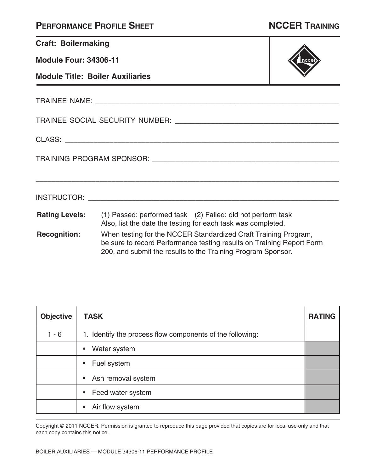| <b>PERFORMANCE PROFILE SHEET</b> |  |  |
|----------------------------------|--|--|
|----------------------------------|--|--|

| <b>Craft: Boilermaking</b> |  |
|----------------------------|--|
|                            |  |

**Module Four: 34306-11**

**Module Title: Boiler Auxiliaries**

TRAINEE NAME: \_\_\_\_\_\_\_\_\_\_\_\_\_\_\_\_\_\_\_\_\_\_\_\_\_\_\_\_\_\_\_\_\_\_\_\_\_\_\_\_\_\_\_\_\_\_\_\_\_\_\_\_\_\_\_\_\_\_\_\_\_

TRAINEE SOCIAL SECURITY NUMBER: \_\_\_\_\_\_\_\_\_\_\_\_\_\_\_\_\_\_\_\_\_\_\_\_\_\_\_\_\_\_\_\_\_\_\_\_\_\_\_\_\_

CLASS: \_\_\_\_\_\_\_\_\_\_\_\_\_\_\_\_\_\_\_\_\_\_\_\_\_\_\_\_\_\_\_\_\_\_\_\_\_\_\_\_\_\_\_\_\_\_\_\_\_\_\_\_\_\_\_\_\_\_\_\_\_\_\_\_\_\_\_\_

TRAINING PROGRAM SPONSOR: \_\_\_\_\_\_\_\_\_\_\_\_\_\_\_\_\_\_\_\_\_\_\_\_\_\_\_\_\_\_\_\_\_\_\_\_\_\_\_\_\_\_\_\_\_\_\_

**Rating Levels:** (1) Passed: performed task (2) Failed: did not perform task Also, list the date the testing for each task was completed.

INSTRUCTOR: \_\_\_\_\_\_\_\_\_\_\_\_\_\_\_\_\_\_\_\_\_\_\_\_\_\_\_\_\_\_\_\_\_\_\_\_\_\_\_\_\_\_\_\_\_\_\_\_\_\_\_\_\_\_\_\_\_\_\_\_\_\_\_

**Recognition:** When testing for the NCCER Standardized Craft Training Program, be sure to record Performance testing results on Training Report Form 200, and submit the results to the Training Program Sponsor.

\_\_\_\_\_\_\_\_\_\_\_\_\_\_\_\_\_\_\_\_\_\_\_\_\_\_\_\_\_\_\_\_\_\_\_\_\_\_\_\_\_\_\_\_\_\_\_\_\_\_\_\_\_\_\_\_\_\_\_\_\_\_\_\_\_\_\_\_\_\_\_\_\_\_\_\_

| <b>Objective</b> | <b>TASK</b>                                               | <b>RATING</b> |
|------------------|-----------------------------------------------------------|---------------|
| $1 - 6$          | 1. Identify the process flow components of the following: |               |
|                  | Water system                                              |               |
|                  | Fuel system                                               |               |
|                  | Ash removal system<br>$\bullet$                           |               |
|                  | Feed water system                                         |               |
|                  | Air flow system                                           |               |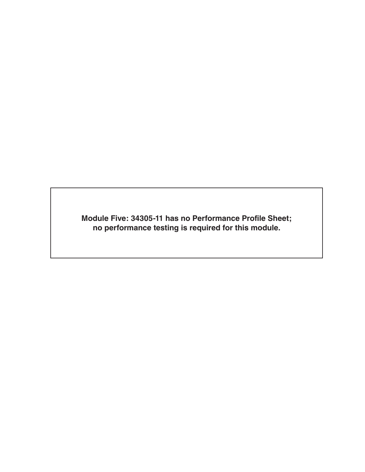**Module Five: 34305-11 has no Performance Profile Sheet; no performance testing is required for this module.**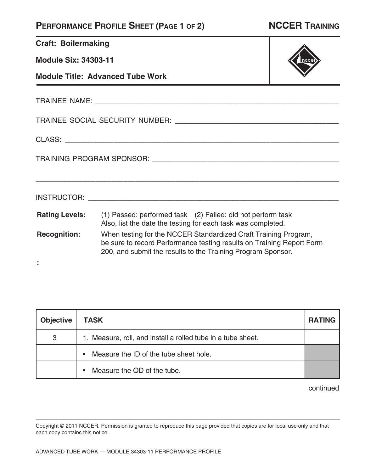### **PERFORMANCE PROFILE SHEET (PAGE 1 OF 2) NCCER TRAINING**

**Craft: Boilermaking** 

**Module Six: 34303-11**

**Module Title: Advanced Tube Work**

TRAINEE NAME: \_\_\_\_\_\_\_\_\_\_\_\_\_\_\_\_\_\_\_\_\_\_\_\_\_\_\_\_\_\_\_\_\_\_\_\_\_\_\_\_\_\_\_\_\_\_\_\_\_\_\_\_\_\_\_\_\_\_\_\_\_

TRAINEE SOCIAL SECURITY NUMBER: \_\_\_\_\_\_\_\_\_\_\_\_\_\_\_\_\_\_\_\_\_\_\_\_\_\_\_\_\_\_\_\_\_\_\_\_\_\_\_\_\_

CLASS: \_\_\_\_\_\_\_\_\_\_\_\_\_\_\_\_\_\_\_\_\_\_\_\_\_\_\_\_\_\_\_\_\_\_\_\_\_\_\_\_\_\_\_\_\_\_\_\_\_\_\_\_\_\_\_\_\_\_\_\_\_\_\_\_\_\_\_\_

**:**

TRAINING PROGRAM SPONSOR: \_\_\_\_\_\_\_\_\_\_\_\_\_\_\_\_\_\_\_\_\_\_\_\_\_\_\_\_\_\_\_\_\_\_\_\_\_\_\_\_\_\_\_\_\_\_\_

**Rating Levels:** (1) Passed: performed task (2) Failed: did not perform task **Recognition:** Also, list the date the testing for each task was completed. When testing for the NCCER Standardized Craft Training Program, be sure to record Performance testing results on Training Report Form 200, and submit the results to the Training Program Sponsor.

INSTRUCTOR: \_\_\_\_\_\_\_\_\_\_\_\_\_\_\_\_\_\_\_\_\_\_\_\_\_\_\_\_\_\_\_\_\_\_\_\_\_\_\_\_\_\_\_\_\_\_\_\_\_\_\_\_\_\_\_\_\_\_\_\_\_\_\_

\_\_\_\_\_\_\_\_\_\_\_\_\_\_\_\_\_\_\_\_\_\_\_\_\_\_\_\_\_\_\_\_\_\_\_\_\_\_\_\_\_\_\_\_\_\_\_\_\_\_\_\_\_\_\_\_\_\_\_\_\_\_\_\_\_\_\_\_\_\_\_\_\_\_\_\_

**Objective TASK RATING** 3 | 1. Measure, roll, and install a rolled tube in a tube sheet. • Measure the ID of the tube sheet hole. • Measure the OD of the tube.

continued

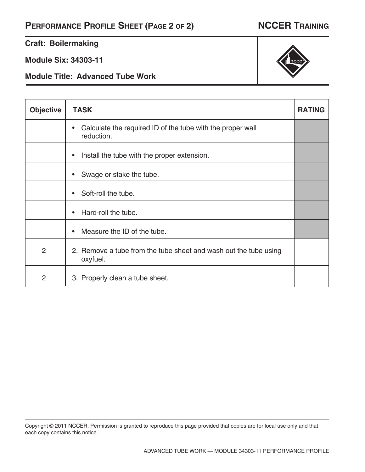### **Craft: Boilermaking**

**Module Six: 34303-11**

**Module Title: Advanced Tube Work**

| <b>Objective</b> | <b>TASK</b>                                                                  | <b>RATING</b> |
|------------------|------------------------------------------------------------------------------|---------------|
|                  | Calculate the required ID of the tube with the proper wall<br>reduction.     |               |
|                  | Install the tube with the proper extension.<br>$\bullet$                     |               |
|                  | Swage or stake the tube.                                                     |               |
|                  | Soft-roll the tube.<br>$\bullet$                                             |               |
|                  | Hard-roll the tube.                                                          |               |
|                  | Measure the ID of the tube.                                                  |               |
| $\overline{2}$   | 2. Remove a tube from the tube sheet and wash out the tube using<br>oxyfuel. |               |
| $\overline{2}$   | 3. Properly clean a tube sheet.                                              |               |



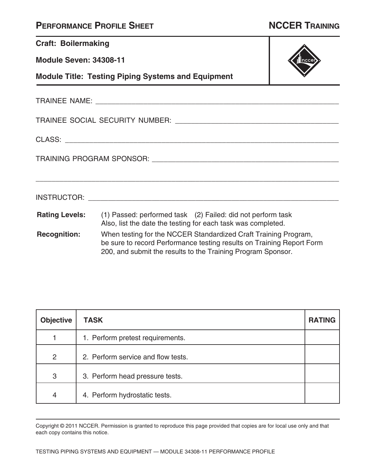| <b>PERFORMANCE PROFILE SHEET</b> |  |  |
|----------------------------------|--|--|
|----------------------------------|--|--|

| <b>Craft: Boilermaking</b>    |                                                                                                                                                                                                                                    |  |
|-------------------------------|------------------------------------------------------------------------------------------------------------------------------------------------------------------------------------------------------------------------------------|--|
| <b>Module Seven: 34308-11</b> |                                                                                                                                                                                                                                    |  |
|                               | <b>Module Title: Testing Piping Systems and Equipment</b>                                                                                                                                                                          |  |
|                               |                                                                                                                                                                                                                                    |  |
|                               |                                                                                                                                                                                                                                    |  |
|                               |                                                                                                                                                                                                                                    |  |
|                               |                                                                                                                                                                                                                                    |  |
|                               | <b>INSTRUCTOR:</b> The contract of the contract of the contract of the contract of the contract of the contract of the contract of the contract of the contract of the contract of the contract of the contract of the contract of |  |
|                               | <b>Rating Levels:</b> (1) Passed: performed task (2) Failed: did not perform task<br>Also, list the date the testing for each task was completed.                                                                                  |  |
| <b>Recognition:</b>           | When testing for the NCCER Standardized Craft Training Program,<br>be sure to record Performance testing results on Training Report Form<br>200, and submit the results to the Training Program Sponsor.                           |  |

| <b>Objective</b> | <b>TASK</b>                        | <b>RATING</b> |
|------------------|------------------------------------|---------------|
|                  | 1. Perform pretest requirements.   |               |
| $\overline{2}$   | 2. Perform service and flow tests. |               |
| 3                | 3. Perform head pressure tests.    |               |
| $\overline{4}$   | 4. Perform hydrostatic tests.      |               |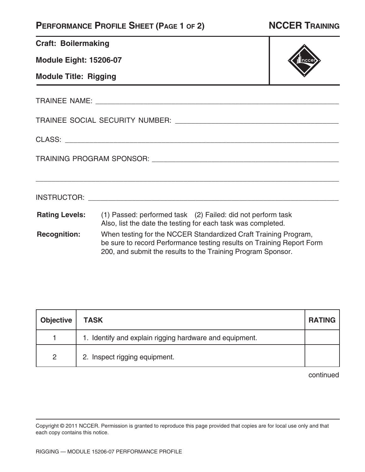## **PERFORMANCE PROFILE SHEET (PAGE 1 OF 2) NCCER TRAINING**

**Module Eight: 15206-07**

**Module Title: Rigging**

TRAINEE NAME: \_\_\_\_\_\_\_\_\_\_\_\_\_\_\_\_\_\_\_\_\_\_\_\_\_\_\_\_\_\_\_\_\_\_\_\_\_\_\_\_\_\_\_\_\_\_\_\_\_\_\_\_\_\_\_\_\_\_\_\_\_

TRAINEE SOCIAL SECURITY NUMBER: \_\_\_\_\_\_\_\_\_\_\_\_\_\_\_\_\_\_\_\_\_\_\_\_\_\_\_\_\_\_\_\_\_\_\_\_\_\_\_\_\_

CLASS: \_\_\_\_\_\_\_\_\_\_\_\_\_\_\_\_\_\_\_\_\_\_\_\_\_\_\_\_\_\_\_\_\_\_\_\_\_\_\_\_\_\_\_\_\_\_\_\_\_\_\_\_\_\_\_\_\_\_\_\_\_\_\_\_\_\_\_\_

TRAINING PROGRAM SPONSOR: \_\_\_\_\_\_\_\_\_\_\_\_\_\_\_\_\_\_\_\_\_\_\_\_\_\_\_\_\_\_\_\_\_\_\_\_\_\_\_\_\_\_\_\_\_\_\_

**Rating Levels:** (1) Passed: performed task (2) Failed: did not perform task Also, list the date the testing for each task was completed.

INSTRUCTOR: \_\_\_\_\_\_\_\_\_\_\_\_\_\_\_\_\_\_\_\_\_\_\_\_\_\_\_\_\_\_\_\_\_\_\_\_\_\_\_\_\_\_\_\_\_\_\_\_\_\_\_\_\_\_\_\_\_\_\_\_\_\_\_

**Recognition:** When testing for the NCCER Standardized Craft Training Program, be sure to record Performance testing results on Training Report Form 200, and submit the results to the Training Program Sponsor.

\_\_\_\_\_\_\_\_\_\_\_\_\_\_\_\_\_\_\_\_\_\_\_\_\_\_\_\_\_\_\_\_\_\_\_\_\_\_\_\_\_\_\_\_\_\_\_\_\_\_\_\_\_\_\_\_\_\_\_\_\_\_\_\_\_\_\_\_\_\_\_\_\_\_\_\_

| <b>Objective</b> | <b>TASK</b>                                             | <b>RATING</b> |
|------------------|---------------------------------------------------------|---------------|
|                  | 1. Identify and explain rigging hardware and equipment. |               |
| 2                | 2. Inspect rigging equipment.                           |               |

continued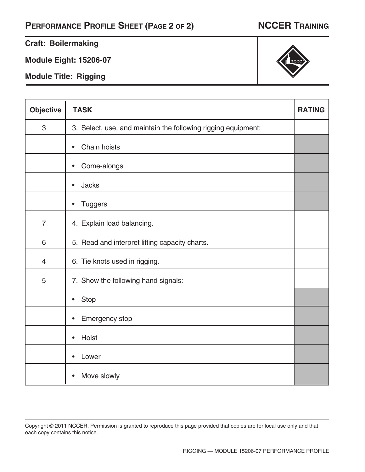# **PERFORMANCE PROFILE SHEET (PAGE 2 OF 2) NCCER TRAINING**

### **Craft: Boilermaking**

**Module Eight: 15206-07**

**Module Title: Rigging**

| <b>Objective</b> | <b>TASK</b>                                                   | <b>RATING</b> |
|------------------|---------------------------------------------------------------|---------------|
| 3                | 3. Select, use, and maintain the following rigging equipment: |               |
|                  | Chain hoists<br>$\bullet$                                     |               |
|                  | Come-alongs<br>$\bullet$                                      |               |
|                  | <b>Jacks</b><br>$\bullet$                                     |               |
|                  | <b>Tuggers</b><br>$\bullet$                                   |               |
| $\overline{7}$   | 4. Explain load balancing.                                    |               |
| 6                | 5. Read and interpret lifting capacity charts.                |               |
| $\overline{4}$   | 6. Tie knots used in rigging.                                 |               |
| 5                | 7. Show the following hand signals:                           |               |
|                  | <b>Stop</b><br>$\bullet$                                      |               |
|                  | <b>Emergency stop</b><br>$\bullet$                            |               |
|                  | Hoist<br>$\bullet$                                            |               |
|                  | Lower<br>$\bullet$                                            |               |
|                  | Move slowly                                                   |               |